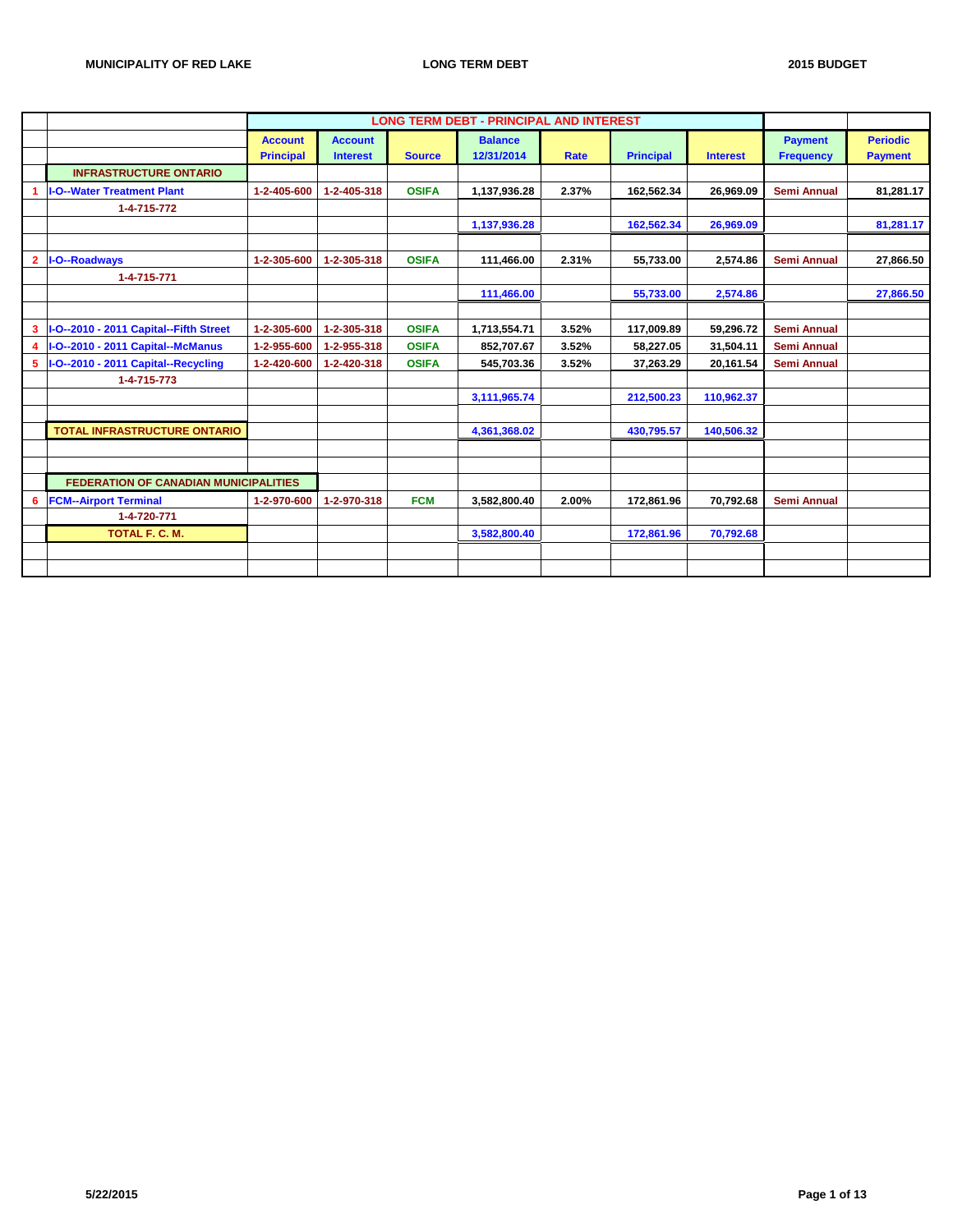|                                              |                  |                 |               | <b>LONG TERM DEBT - PRINCIPAL AND INTEREST</b> |       |                  |                 |                    |                 |
|----------------------------------------------|------------------|-----------------|---------------|------------------------------------------------|-------|------------------|-----------------|--------------------|-----------------|
|                                              | <b>Account</b>   | <b>Account</b>  |               | <b>Balance</b>                                 |       |                  |                 | <b>Payment</b>     | <b>Periodic</b> |
|                                              | <b>Principal</b> | <b>Interest</b> | <b>Source</b> | 12/31/2014                                     | Rate  | <b>Principal</b> | <b>Interest</b> | <b>Frequency</b>   | <b>Payment</b>  |
| <b>INFRASTRUCTURE ONTARIO</b>                |                  |                 |               |                                                |       |                  |                 |                    |                 |
| <b>I-O--Water Treatment Plant</b>            | 1-2-405-600      | 1-2-405-318     | <b>OSIFA</b>  | 1,137,936.28                                   | 2.37% | 162,562.34       | 26.969.09       | <b>Semi Annual</b> | 81,281.17       |
| 1-4-715-772                                  |                  |                 |               |                                                |       |                  |                 |                    |                 |
|                                              |                  |                 |               | 1,137,936.28                                   |       | 162,562.34       | 26,969.09       |                    | 81,281.17       |
|                                              |                  |                 |               |                                                |       |                  |                 |                    |                 |
| 2   I-O--Roadways                            | 1-2-305-600      | 1-2-305-318     | <b>OSIFA</b>  | 111,466.00                                     | 2.31% | 55,733.00        | 2,574.86        | <b>Semi Annual</b> | 27,866.50       |
| 1-4-715-771                                  |                  |                 |               |                                                |       |                  |                 |                    |                 |
|                                              |                  |                 |               | 111,466.00                                     |       | 55,733.00        | 2,574.86        |                    | 27,866.50       |
|                                              |                  |                 |               |                                                |       |                  |                 |                    |                 |
| 3  I-O--2010 - 2011 Capital--Fifth Street    | 1-2-305-600      | 1-2-305-318     | <b>OSIFA</b>  | 1,713,554.71                                   | 3.52% | 117,009.89       | 59,296.72       | <b>Semi Annual</b> |                 |
| 4  I-O--2010 - 2011 Capital--McManus         | 1-2-955-600      | 1-2-955-318     | <b>OSIFA</b>  | 852,707.67                                     | 3.52% | 58,227.05        | 31,504.11       | <b>Semi Annual</b> |                 |
| 5  I-O--2010 - 2011 Capital--Recycling       | 1-2-420-600      | 1-2-420-318     | <b>OSIFA</b>  | 545,703.36                                     | 3.52% | 37,263.29        | 20,161.54       | <b>Semi Annual</b> |                 |
| 1-4-715-773                                  |                  |                 |               |                                                |       |                  |                 |                    |                 |
|                                              |                  |                 |               | 3,111,965.74                                   |       | 212,500.23       | 110,962.37      |                    |                 |
|                                              |                  |                 |               |                                                |       |                  |                 |                    |                 |
| <b>TOTAL INFRASTRUCTURE ONTARIO</b>          |                  |                 |               | 4,361,368.02                                   |       | 430,795.57       | 140,506.32      |                    |                 |
|                                              |                  |                 |               |                                                |       |                  |                 |                    |                 |
|                                              |                  |                 |               |                                                |       |                  |                 |                    |                 |
| <b>FEDERATION OF CANADIAN MUNICIPALITIES</b> |                  |                 |               |                                                |       |                  |                 |                    |                 |
| 6   FCM--Airport Terminal                    | 1-2-970-600      | 1-2-970-318     | <b>FCM</b>    | 3,582,800.40                                   | 2.00% | 172,861.96       | 70,792.68       | <b>Semi Annual</b> |                 |
| 1-4-720-771                                  |                  |                 |               |                                                |       |                  |                 |                    |                 |
| TOTAL F. C. M.                               |                  |                 |               | 3,582,800.40                                   |       | 172,861.96       | 70,792.68       |                    |                 |
|                                              |                  |                 |               |                                                |       |                  |                 |                    |                 |
|                                              |                  |                 |               |                                                |       |                  |                 |                    |                 |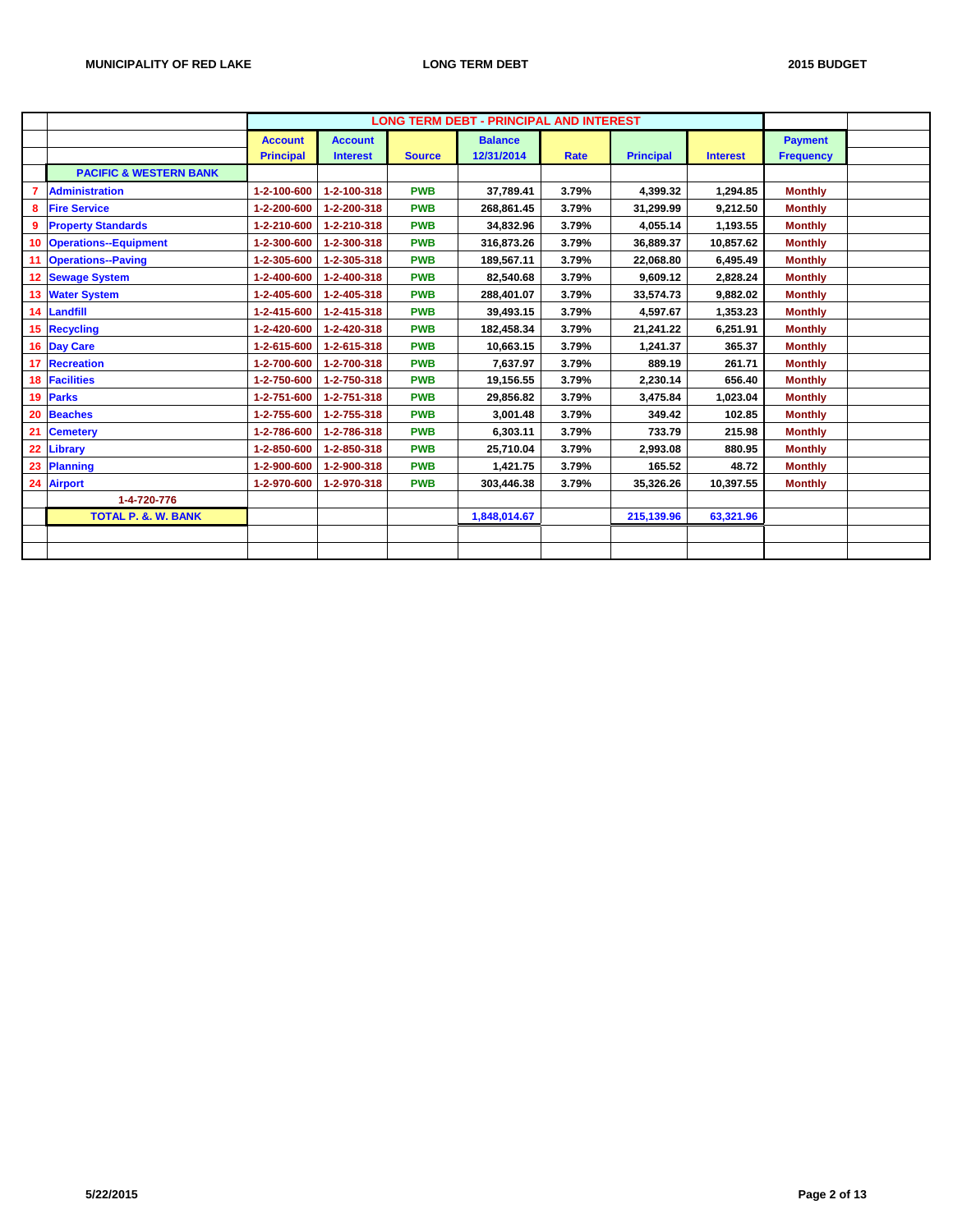|    |                                   |                  |                 |               | <b>LONG TERM DEBT - PRINCIPAL AND INTEREST</b> |       |                  |                 |                  |  |
|----|-----------------------------------|------------------|-----------------|---------------|------------------------------------------------|-------|------------------|-----------------|------------------|--|
|    |                                   |                  |                 |               |                                                |       |                  |                 |                  |  |
|    |                                   | <b>Account</b>   | <b>Account</b>  |               | <b>Balance</b>                                 |       |                  |                 | <b>Payment</b>   |  |
|    |                                   | <b>Principal</b> | <b>Interest</b> | <b>Source</b> | 12/31/2014                                     | Rate  | <b>Principal</b> | <b>Interest</b> | <b>Frequency</b> |  |
|    | <b>PACIFIC &amp; WESTERN BANK</b> |                  |                 |               |                                                |       |                  |                 |                  |  |
|    | <b>Administration</b>             | 1-2-100-600      | 1-2-100-318     | <b>PWB</b>    | 37,789.41                                      | 3.79% | 4,399.32         | 1,294.85        | <b>Monthly</b>   |  |
| 8  | <b>Fire Service</b>               | 1-2-200-600      | 1-2-200-318     | <b>PWB</b>    | 268,861.45                                     | 3.79% | 31,299.99        | 9,212.50        | <b>Monthly</b>   |  |
|    | <b>Property Standards</b>         | 1-2-210-600      | 1-2-210-318     | <b>PWB</b>    | 34,832.96                                      | 3.79% | 4,055.14         | 1,193.55        | <b>Monthly</b>   |  |
| 10 | <b>Operations--Equipment</b>      | 1-2-300-600      | 1-2-300-318     | <b>PWB</b>    | 316,873.26                                     | 3.79% | 36,889.37        | 10,857.62       | <b>Monthly</b>   |  |
| 11 | <b>Operations--Paving</b>         | 1-2-305-600      | 1-2-305-318     | <b>PWB</b>    | 189,567.11                                     | 3.79% | 22,068.80        | 6,495.49        | <b>Monthly</b>   |  |
| 12 | <b>Sewage System</b>              | 1-2-400-600      | 1-2-400-318     | <b>PWB</b>    | 82,540.68                                      | 3.79% | 9,609.12         | 2,828.24        | <b>Monthly</b>   |  |
|    | 13 Water System                   | 1-2-405-600      | 1-2-405-318     | <b>PWB</b>    | 288,401.07                                     | 3.79% | 33,574.73        | 9,882.02        | <b>Monthly</b>   |  |
|    | 14 Landfill                       | 1-2-415-600      | 1-2-415-318     | <b>PWB</b>    | 39,493.15                                      | 3.79% | 4,597.67         | 1,353.23        | <b>Monthly</b>   |  |
|    | 15 Recycling                      | 1-2-420-600      | 1-2-420-318     | <b>PWB</b>    | 182.458.34                                     | 3.79% | 21,241.22        | 6,251.91        | <b>Monthly</b>   |  |
|    | 16 Day Care                       | 1-2-615-600      | 1-2-615-318     | <b>PWB</b>    | 10,663.15                                      | 3.79% | 1,241.37         | 365.37          | <b>Monthly</b>   |  |
|    | 17 Recreation                     | 1-2-700-600      | 1-2-700-318     | <b>PWB</b>    | 7,637.97                                       | 3.79% | 889.19           | 261.71          | <b>Monthly</b>   |  |
|    | 18 Facilities                     | 1-2-750-600      | 1-2-750-318     | <b>PWB</b>    | 19,156.55                                      | 3.79% | 2,230.14         | 656.40          | <b>Monthly</b>   |  |
|    | 19 Parks                          | 1-2-751-600      | 1-2-751-318     | <b>PWB</b>    | 29,856.82                                      | 3.79% | 3,475.84         | 1,023.04        | <b>Monthly</b>   |  |
| 20 | <b>Beaches</b>                    | 1-2-755-600      | 1-2-755-318     | <b>PWB</b>    | 3,001.48                                       | 3.79% | 349.42           | 102.85          | <b>Monthly</b>   |  |
| 21 | <b>Cemetery</b>                   | 1-2-786-600      | 1-2-786-318     | <b>PWB</b>    | 6,303.11                                       | 3.79% | 733.79           | 215.98          | <b>Monthly</b>   |  |
| 22 | Library                           | 1-2-850-600      | 1-2-850-318     | <b>PWB</b>    | 25,710.04                                      | 3.79% | 2,993.08         | 880.95          | <b>Monthly</b>   |  |
| 23 | Planning                          | 1-2-900-600      | 1-2-900-318     | <b>PWB</b>    | 1,421.75                                       | 3.79% | 165.52           | 48.72           | <b>Monthly</b>   |  |
| 24 | <b>Airport</b>                    | 1-2-970-600      | 1-2-970-318     | <b>PWB</b>    | 303,446.38                                     | 3.79% | 35,326.26        | 10,397.55       | <b>Monthly</b>   |  |
|    | 1-4-720-776                       |                  |                 |               |                                                |       |                  |                 |                  |  |
|    | <b>TOTAL P. &amp;. W. BANK</b>    |                  |                 |               | 1,848,014.67                                   |       | 215,139.96       | 63,321.96       |                  |  |
|    |                                   |                  |                 |               |                                                |       |                  |                 |                  |  |
|    |                                   |                  |                 |               |                                                |       |                  |                 |                  |  |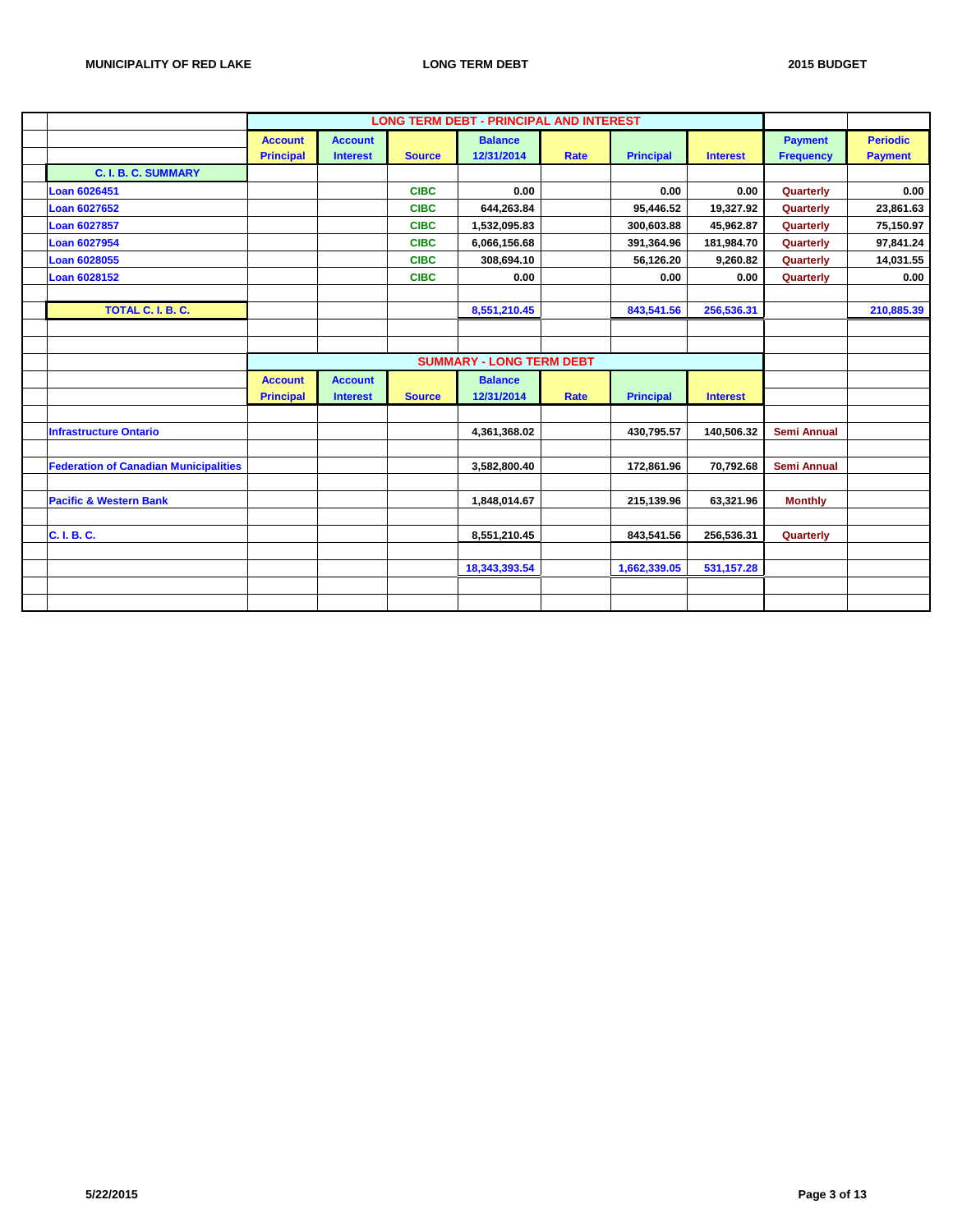|                                              |                  |                 |               | <b>LONG TERM DEBT - PRINCIPAL AND INTEREST</b> |             |                  |                 |                    |                 |
|----------------------------------------------|------------------|-----------------|---------------|------------------------------------------------|-------------|------------------|-----------------|--------------------|-----------------|
|                                              | <b>Account</b>   | <b>Account</b>  |               | <b>Balance</b>                                 |             |                  |                 | <b>Payment</b>     | <b>Periodic</b> |
|                                              | <b>Principal</b> | <b>Interest</b> | <b>Source</b> | 12/31/2014                                     | Rate        | <b>Principal</b> | <b>Interest</b> | <b>Frequency</b>   | <b>Payment</b>  |
| <b>C. I. B. C. SUMMARY</b>                   |                  |                 |               |                                                |             |                  |                 |                    |                 |
| Loan 6026451                                 |                  |                 | <b>CIBC</b>   | 0.00                                           |             | 0.00             | 0.00            | Quarterly          | 0.00            |
| <b>Loan 6027652</b>                          |                  |                 | <b>CIBC</b>   | 644,263.84                                     |             | 95,446.52        | 19,327.92       | Quarterly          | 23,861.63       |
| Loan 6027857                                 |                  |                 | <b>CIBC</b>   | 1,532,095.83                                   |             | 300,603.88       | 45,962.87       | Quarterly          | 75,150.97       |
| <b>Loan 6027954</b>                          |                  |                 | <b>CIBC</b>   | 6,066,156.68                                   |             | 391,364.96       | 181,984.70      | Quarterly          | 97,841.24       |
| Loan 6028055                                 |                  |                 | <b>CIBC</b>   | 308,694.10                                     |             | 56,126.20        | 9,260.82        | Quarterly          | 14,031.55       |
| Loan 6028152                                 |                  |                 | <b>CIBC</b>   | 0.00                                           |             | 0.00             | 0.00            | Quarterly          | 0.00            |
|                                              |                  |                 |               |                                                |             |                  |                 |                    |                 |
| TOTAL C. I. B. C.                            |                  |                 |               | 8,551,210.45                                   |             | 843,541.56       | 256,536.31      |                    | 210,885.39      |
|                                              |                  |                 |               |                                                |             |                  |                 |                    |                 |
|                                              |                  |                 |               |                                                |             |                  |                 |                    |                 |
|                                              |                  |                 |               | <b>SUMMARY - LONG TERM DEBT</b>                |             |                  |                 |                    |                 |
|                                              | <b>Account</b>   | <b>Account</b>  |               | <b>Balance</b>                                 |             |                  |                 |                    |                 |
|                                              | <b>Principal</b> | <b>Interest</b> | <b>Source</b> | 12/31/2014                                     | <b>Rate</b> | <b>Principal</b> | <b>Interest</b> |                    |                 |
|                                              |                  |                 |               |                                                |             |                  |                 |                    |                 |
| <b>Infrastructure Ontario</b>                |                  |                 |               | 4,361,368.02                                   |             | 430,795.57       | 140,506.32      | <b>Semi Annual</b> |                 |
|                                              |                  |                 |               |                                                |             |                  |                 |                    |                 |
| <b>Federation of Canadian Municipalities</b> |                  |                 |               | 3,582,800.40                                   |             | 172,861.96       | 70,792.68       | <b>Semi Annual</b> |                 |
|                                              |                  |                 |               |                                                |             |                  |                 |                    |                 |
| <b>Pacific &amp; Western Bank</b>            |                  |                 |               | 1,848,014.67                                   |             | 215,139.96       | 63,321.96       | <b>Monthly</b>     |                 |
|                                              |                  |                 |               |                                                |             |                  |                 |                    |                 |
| C. I. B. C.                                  |                  |                 |               | 8,551,210.45                                   |             | 843,541.56       | 256,536.31      | Quarterly          |                 |
|                                              |                  |                 |               |                                                |             |                  |                 |                    |                 |
|                                              |                  |                 |               | 18,343,393.54                                  |             | 1,662,339.05     | 531, 157.28     |                    |                 |
|                                              |                  |                 |               |                                                |             |                  |                 |                    |                 |
|                                              |                  |                 |               |                                                |             |                  |                 |                    |                 |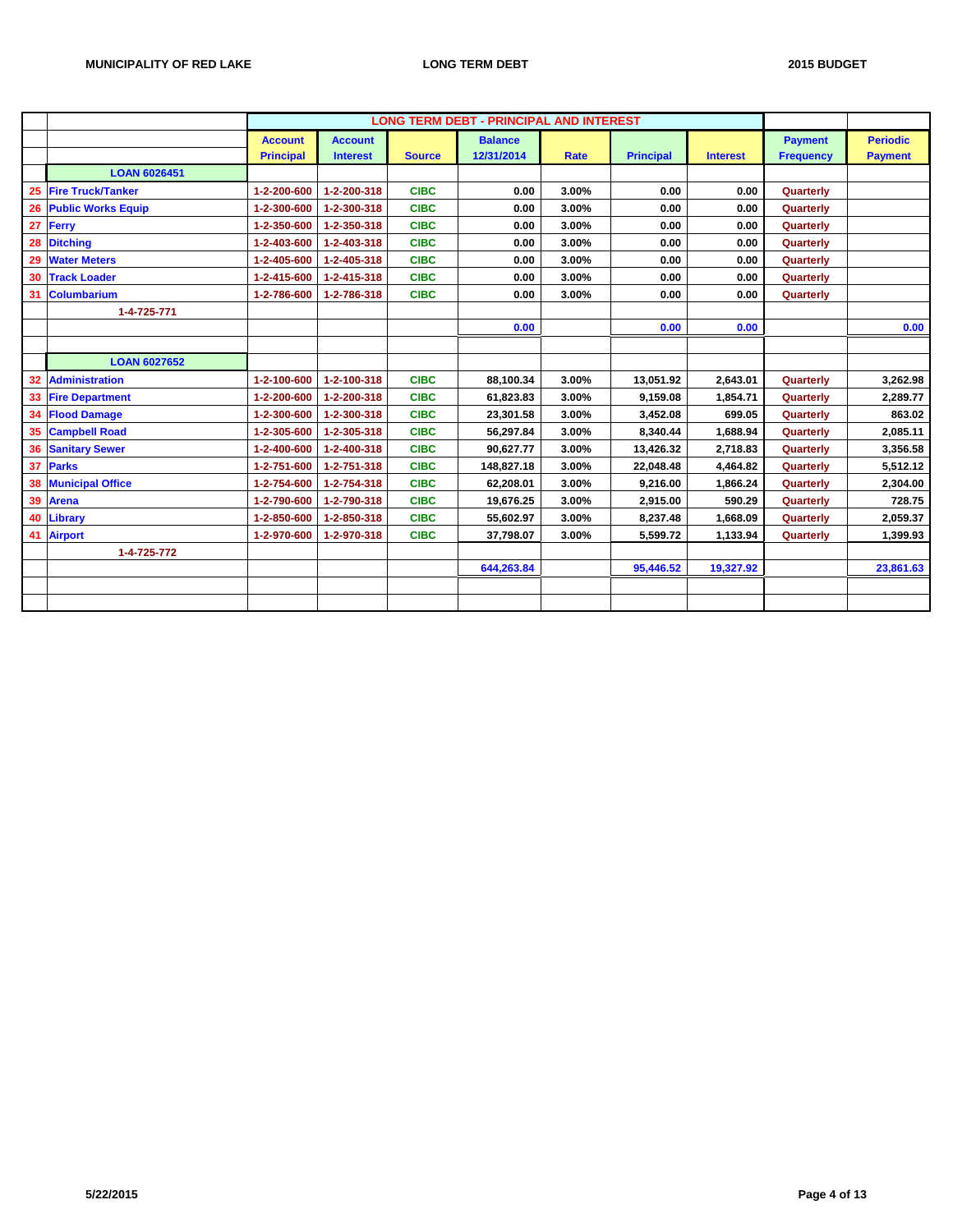|    |                           |                  |                 |               | <b>LONG TERM DEBT - PRINCIPAL AND INTEREST</b> |             |                  |                 |                  |                 |
|----|---------------------------|------------------|-----------------|---------------|------------------------------------------------|-------------|------------------|-----------------|------------------|-----------------|
|    |                           | <b>Account</b>   | <b>Account</b>  |               | <b>Balance</b>                                 |             |                  |                 | <b>Payment</b>   | <b>Periodic</b> |
|    |                           | <b>Principal</b> | <b>Interest</b> | <b>Source</b> | 12/31/2014                                     | <b>Rate</b> | <b>Principal</b> | <b>Interest</b> | <b>Frequency</b> | <b>Payment</b>  |
|    | <b>LOAN 6026451</b>       |                  |                 |               |                                                |             |                  |                 |                  |                 |
| 25 | <b>Fire Truck/Tanker</b>  | 1-2-200-600      | 1-2-200-318     | <b>CIBC</b>   | 0.00                                           | 3.00%       | 0.00             | 0.00            | Quarterly        |                 |
| 26 | <b>Public Works Equip</b> | 1-2-300-600      | 1-2-300-318     | <b>CIBC</b>   | 0.00                                           | 3.00%       | 0.00             | 0.00            | Quarterly        |                 |
| 27 | Ferry                     | 1-2-350-600      | 1-2-350-318     | <b>CIBC</b>   | 0.00                                           | 3.00%       | 0.00             | 0.00            | Quarterly        |                 |
| 28 | <b>Ditching</b>           | 1-2-403-600      | 1-2-403-318     | <b>CIBC</b>   | 0.00                                           | 3.00%       | 0.00             | 0.00            | Quarterly        |                 |
| 29 | <b>Water Meters</b>       | 1-2-405-600      | 1-2-405-318     | <b>CIBC</b>   | 0.00                                           | 3.00%       | 0.00             | 0.00            | Quarterly        |                 |
| 30 | <b>Track Loader</b>       | 1-2-415-600      | 1-2-415-318     | <b>CIBC</b>   | 0.00                                           | 3.00%       | 0.00             | 0.00            | Quarterly        |                 |
| 31 | Columbarium               | 1-2-786-600      | 1-2-786-318     | <b>CIBC</b>   | 0.00                                           | 3.00%       | 0.00             | 0.00            | Quarterly        |                 |
|    | 1-4-725-771               |                  |                 |               |                                                |             |                  |                 |                  |                 |
|    |                           |                  |                 |               | 0.00                                           |             | 0.00             | 0.00            |                  | 0.00            |
|    |                           |                  |                 |               |                                                |             |                  |                 |                  |                 |
|    | <b>LOAN 6027652</b>       |                  |                 |               |                                                |             |                  |                 |                  |                 |
| 32 | <b>Administration</b>     | 1-2-100-600      | 1-2-100-318     | <b>CIBC</b>   | 88,100.34                                      | 3.00%       | 13,051.92        | 2,643.01        | Quarterly        | 3,262.98        |
|    | 33 Fire Department        | 1-2-200-600      | 1-2-200-318     | <b>CIBC</b>   | 61,823.83                                      | 3.00%       | 9,159.08         | 1,854.71        | Quarterly        | 2,289.77        |
|    | 34 Flood Damage           | 1-2-300-600      | 1-2-300-318     | <b>CIBC</b>   | 23,301.58                                      | 3.00%       | 3,452.08         | 699.05          | Quarterly        | 863.02          |
| 35 | <b>Campbell Road</b>      | 1-2-305-600      | 1-2-305-318     | <b>CIBC</b>   | 56.297.84                                      | 3.00%       | 8,340.44         | 1.688.94        | Quarterly        | 2,085.11        |
| 36 | <b>Sanitary Sewer</b>     | 1-2-400-600      | 1-2-400-318     | <b>CIBC</b>   | 90,627.77                                      | 3.00%       | 13,426.32        | 2,718.83        | Quarterly        | 3,356.58        |
| 37 | Parks                     | 1-2-751-600      | 1-2-751-318     | <b>CIBC</b>   | 148,827.18                                     | 3.00%       | 22,048.48        | 4,464.82        | Quarterly        | 5,512.12        |
|    | <b>Municipal Office</b>   | 1-2-754-600      | 1-2-754-318     | <b>CIBC</b>   | 62,208.01                                      | 3.00%       | 9,216.00         | 1,866.24        | Quarterly        | 2,304.00        |
|    | 39 Arena                  | 1-2-790-600      | 1-2-790-318     | <b>CIBC</b>   | 19,676.25                                      | 3.00%       | 2,915.00         | 590.29          | Quarterly        | 728.75          |
| 40 | Library                   | 1-2-850-600      | 1-2-850-318     | <b>CIBC</b>   | 55,602.97                                      | 3.00%       | 8,237.48         | 1,668.09        | Quarterly        | 2,059.37        |
|    | 41 Airport                | 1-2-970-600      | 1-2-970-318     | <b>CIBC</b>   | 37,798.07                                      | 3.00%       | 5,599.72         | 1,133.94        | Quarterly        | 1,399.93        |
|    | 1-4-725-772               |                  |                 |               |                                                |             |                  |                 |                  |                 |
|    |                           |                  |                 |               | 644,263.84                                     |             | 95,446.52        | 19,327.92       |                  | 23,861.63       |
|    |                           |                  |                 |               |                                                |             |                  |                 |                  |                 |
|    |                           |                  |                 |               |                                                |             |                  |                 |                  |                 |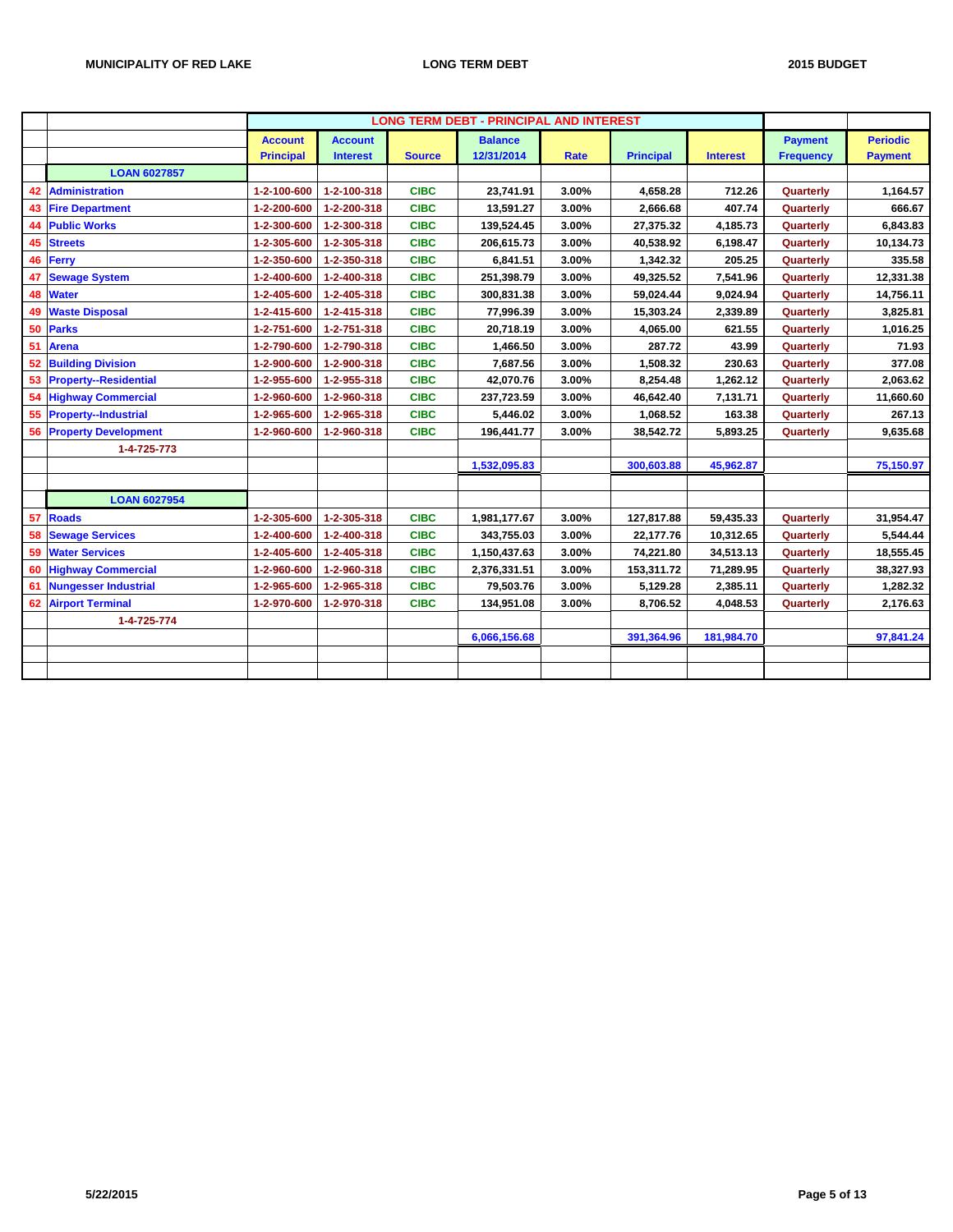|    |                              |                  |                 |               | <b>LONG TERM DEBT - PRINCIPAL AND INTEREST</b> |             |                  |                 |                  |                 |
|----|------------------------------|------------------|-----------------|---------------|------------------------------------------------|-------------|------------------|-----------------|------------------|-----------------|
|    |                              | <b>Account</b>   | <b>Account</b>  |               | <b>Balance</b>                                 |             |                  |                 | <b>Payment</b>   | <b>Periodic</b> |
|    |                              | <b>Principal</b> | <b>Interest</b> | <b>Source</b> | 12/31/2014                                     | <b>Rate</b> | <b>Principal</b> | <b>Interest</b> | <b>Frequency</b> | <b>Payment</b>  |
|    | <b>LOAN 6027857</b>          |                  |                 |               |                                                |             |                  |                 |                  |                 |
| 42 | Administration               | 1-2-100-600      | 1-2-100-318     | <b>CIBC</b>   | 23,741.91                                      | 3.00%       | 4,658.28         | 712.26          | Quarterly        | 1,164.57        |
| 43 | <b>Fire Department</b>       | 1-2-200-600      | 1-2-200-318     | <b>CIBC</b>   | 13,591.27                                      | 3.00%       | 2,666.68         | 407.74          | Quarterly        | 666.67          |
| 44 | <b>Public Works</b>          | 1-2-300-600      | 1-2-300-318     | <b>CIBC</b>   | 139,524.45                                     | 3.00%       | 27,375.32        | 4,185.73        | Quarterly        | 6,843.83        |
| 45 | <b>Streets</b>               | 1-2-305-600      | 1-2-305-318     | <b>CIBC</b>   | 206,615.73                                     | 3.00%       | 40,538.92        | 6,198.47        | Quarterly        | 10,134.73       |
|    | 46 Ferry                     | 1-2-350-600      | 1-2-350-318     | <b>CIBC</b>   | 6,841.51                                       | 3.00%       | 1,342.32         | 205.25          | Quarterly        | 335.58          |
| 47 | <b>Sewage System</b>         | 1-2-400-600      | 1-2-400-318     | <b>CIBC</b>   | 251,398.79                                     | 3.00%       | 49,325.52        | 7,541.96        | Quarterly        | 12,331.38       |
| 48 | <b>Water</b>                 | 1-2-405-600      | 1-2-405-318     | <b>CIBC</b>   | 300,831.38                                     | 3.00%       | 59,024.44        | 9,024.94        | Quarterly        | 14,756.11       |
| 49 | <b>Waste Disposal</b>        | 1-2-415-600      | 1-2-415-318     | <b>CIBC</b>   | 77,996.39                                      | 3.00%       | 15,303.24        | 2,339.89        | Quarterly        | 3,825.81        |
|    | 50 Parks                     | 1-2-751-600      | 1-2-751-318     | <b>CIBC</b>   | 20.718.19                                      | 3.00%       | 4,065.00         | 621.55          | Quarterly        | 1,016.25        |
| 51 | <b>Arena</b>                 | 1-2-790-600      | 1-2-790-318     | <b>CIBC</b>   | 1,466.50                                       | 3.00%       | 287.72           | 43.99           | Quarterly        | 71.93           |
| 52 | <b>Building Division</b>     | 1-2-900-600      | 1-2-900-318     | <b>CIBC</b>   | 7,687.56                                       | 3.00%       | 1,508.32         | 230.63          | Quarterly        | 377.08          |
| 53 | <b>Property--Residential</b> | 1-2-955-600      | 1-2-955-318     | <b>CIBC</b>   | 42,070.76                                      | 3.00%       | 8,254.48         | 1,262.12        | Quarterly        | 2,063.62        |
| 54 | <b>Highway Commercial</b>    | 1-2-960-600      | 1-2-960-318     | <b>CIBC</b>   | 237,723.59                                     | 3.00%       | 46,642.40        | 7,131.71        | Quarterly        | 11,660.60       |
| 55 | <b>Property--Industrial</b>  | 1-2-965-600      | 1-2-965-318     | <b>CIBC</b>   | 5,446.02                                       | 3.00%       | 1,068.52         | 163.38          | Quarterly        | 267.13          |
| 56 | <b>Property Development</b>  | 1-2-960-600      | 1-2-960-318     | <b>CIBC</b>   | 196,441.77                                     | 3.00%       | 38,542.72        | 5,893.25        | Quarterly        | 9,635.68        |
|    | 1-4-725-773                  |                  |                 |               |                                                |             |                  |                 |                  |                 |
|    |                              |                  |                 |               | 1,532,095.83                                   |             | 300,603.88       | 45,962.87       |                  | 75,150.97       |
|    |                              |                  |                 |               |                                                |             |                  |                 |                  |                 |
|    | <b>LOAN 6027954</b>          |                  |                 |               |                                                |             |                  |                 |                  |                 |
| 57 | <b>Roads</b>                 | 1-2-305-600      | 1-2-305-318     | <b>CIBC</b>   | 1,981,177.67                                   | 3.00%       | 127,817.88       | 59,435.33       | Quarterly        | 31,954.47       |
| 58 | <b>Sewage Services</b>       | 1-2-400-600      | 1-2-400-318     | <b>CIBC</b>   | 343,755.03                                     | 3.00%       | 22,177.76        | 10,312.65       | Quarterly        | 5,544.44        |
| 59 | <b>Water Services</b>        | 1-2-405-600      | 1-2-405-318     | <b>CIBC</b>   | 1,150,437.63                                   | 3.00%       | 74,221.80        | 34,513.13       | Quarterly        | 18,555.45       |
| 60 | <b>Highway Commercial</b>    | 1-2-960-600      | 1-2-960-318     | <b>CIBC</b>   | 2,376,331.51                                   | 3.00%       | 153,311.72       | 71,289.95       | Quarterly        | 38,327.93       |
|    | 61 Nungesser Industrial      | 1-2-965-600      | 1-2-965-318     | <b>CIBC</b>   | 79,503.76                                      | 3.00%       | 5,129.28         | 2,385.11        | Quarterly        | 1,282.32        |
| 62 | <b>Airport Terminal</b>      | 1-2-970-600      | 1-2-970-318     | <b>CIBC</b>   | 134,951.08                                     | 3.00%       | 8,706.52         | 4,048.53        | Quarterly        | 2,176.63        |
|    | 1-4-725-774                  |                  |                 |               |                                                |             |                  |                 |                  |                 |
|    |                              |                  |                 |               | 6,066,156.68                                   |             | 391,364.96       | 181,984.70      |                  | 97,841.24       |
|    |                              |                  |                 |               |                                                |             |                  |                 |                  |                 |
|    |                              |                  |                 |               |                                                |             |                  |                 |                  |                 |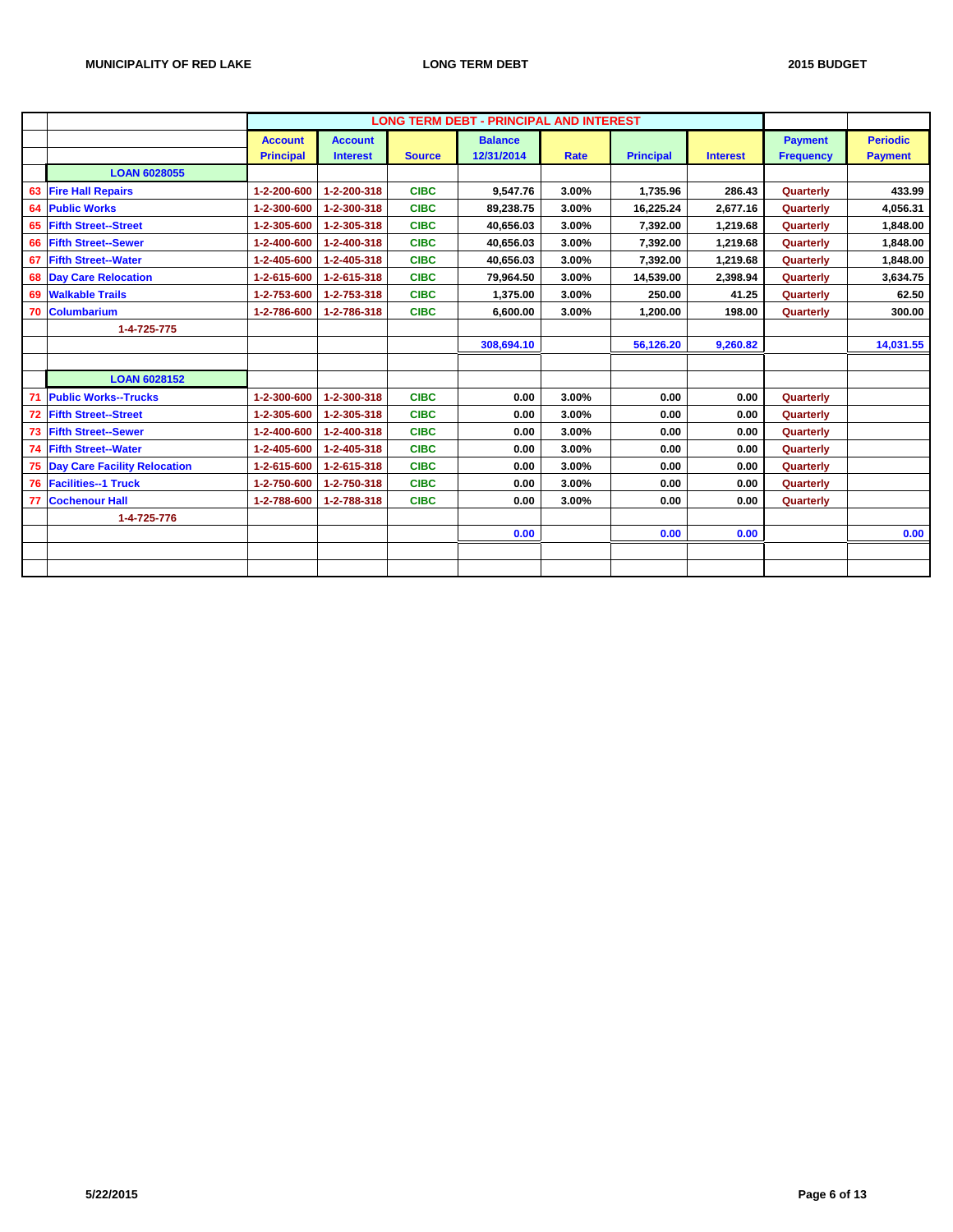|    |                                     |                                    |                                   |               | <b>LONG TERM DEBT - PRINCIPAL AND INTEREST</b> |             |                  |                 |                                    |                                   |
|----|-------------------------------------|------------------------------------|-----------------------------------|---------------|------------------------------------------------|-------------|------------------|-----------------|------------------------------------|-----------------------------------|
|    |                                     | <b>Account</b><br><b>Principal</b> | <b>Account</b><br><b>Interest</b> | <b>Source</b> | <b>Balance</b><br>12/31/2014                   | <b>Rate</b> | <b>Principal</b> | <b>Interest</b> | <b>Payment</b><br><b>Frequency</b> | <b>Periodic</b><br><b>Payment</b> |
|    | <b>LOAN 6028055</b>                 |                                    |                                   |               |                                                |             |                  |                 |                                    |                                   |
| 63 | <b>Fire Hall Repairs</b>            | 1-2-200-600                        | 1-2-200-318                       | <b>CIBC</b>   | 9,547.76                                       | 3.00%       | 1,735.96         | 286.43          | Quarterly                          | 433.99                            |
| 64 | <b>Public Works</b>                 | 1-2-300-600                        | 1-2-300-318                       | <b>CIBC</b>   | 89,238.75                                      | 3.00%       | 16,225.24        | 2,677.16        | Quarterly                          | 4,056.31                          |
| 65 | <b>Fifth Street--Street</b>         | 1-2-305-600                        | 1-2-305-318                       | <b>CIBC</b>   | 40,656.03                                      | 3.00%       | 7,392.00         | 1,219.68        | Quarterly                          | 1,848.00                          |
| 66 | <b>Fifth Street--Sewer</b>          | 1-2-400-600                        | 1-2-400-318                       | <b>CIBC</b>   | 40,656.03                                      | 3.00%       | 7,392.00         | 1,219.68        | Quarterly                          | 1,848.00                          |
| 67 | <b>Fifth Street--Water</b>          | 1-2-405-600                        | 1-2-405-318                       | <b>CIBC</b>   | 40.656.03                                      | 3.00%       | 7,392.00         | 1,219.68        | Quarterly                          | 1,848.00                          |
|    | <b>68 Day Care Relocation</b>       | 1-2-615-600                        | 1-2-615-318                       | <b>CIBC</b>   | 79,964.50                                      | 3.00%       | 14,539.00        | 2,398.94        | Quarterly                          | 3,634.75                          |
| 69 | <b>Walkable Trails</b>              | 1-2-753-600                        | 1-2-753-318                       | <b>CIBC</b>   | 1.375.00                                       | 3.00%       | 250.00           | 41.25           | Quarterly                          | 62.50                             |
| 70 | <b>Columbarium</b>                  | 1-2-786-600                        | 1-2-786-318                       | <b>CIBC</b>   | 6,600.00                                       | 3.00%       | 1,200.00         | 198.00          | Quarterly                          | 300.00                            |
|    | 1-4-725-775                         |                                    |                                   |               |                                                |             |                  |                 |                                    |                                   |
|    |                                     |                                    |                                   |               | 308,694.10                                     |             | 56,126.20        | 9,260.82        |                                    | 14,031.55                         |
|    |                                     |                                    |                                   |               |                                                |             |                  |                 |                                    |                                   |
|    | <b>LOAN 6028152</b>                 |                                    |                                   |               |                                                |             |                  |                 |                                    |                                   |
| 71 | <b>Public Works--Trucks</b>         | 1-2-300-600                        | 1-2-300-318                       | <b>CIBC</b>   | 0.00                                           | 3.00%       | 0.00             | 0.00            | Quarterly                          |                                   |
| 72 | <b>Fifth Street--Street</b>         | 1-2-305-600                        | 1-2-305-318                       | <b>CIBC</b>   | 0.00                                           | 3.00%       | 0.00             | 0.00            | Quarterly                          |                                   |
| 73 | <b>Fifth Street--Sewer</b>          | 1-2-400-600                        | 1-2-400-318                       | <b>CIBC</b>   | 0.00                                           | 3.00%       | 0.00             | 0.00            | Quarterly                          |                                   |
| 74 | <b>Fifth Street--Water</b>          | 1-2-405-600                        | 1-2-405-318                       | <b>CIBC</b>   | 0.00                                           | 3.00%       | 0.00             | 0.00            | Quarterly                          |                                   |
| 75 | <b>Day Care Facility Relocation</b> | 1-2-615-600                        | 1-2-615-318                       | <b>CIBC</b>   | 0.00                                           | 3.00%       | 0.00             | 0.00            | Quarterly                          |                                   |
| 76 | <b>Facilities--1 Truck</b>          | 1-2-750-600                        | 1-2-750-318                       | <b>CIBC</b>   | 0.00                                           | 3.00%       | 0.00             | 0.00            | Quarterly                          |                                   |
| 77 | <b>Cochenour Hall</b>               | 1-2-788-600                        | 1-2-788-318                       | <b>CIBC</b>   | 0.00                                           | 3.00%       | 0.00             | 0.00            | Quarterly                          |                                   |
|    | 1-4-725-776                         |                                    |                                   |               |                                                |             |                  |                 |                                    |                                   |
|    |                                     |                                    |                                   |               | 0.00                                           |             | 0.00             | 0.00            |                                    | 0.00                              |
|    |                                     |                                    |                                   |               |                                                |             |                  |                 |                                    |                                   |
|    |                                     |                                    |                                   |               |                                                |             |                  |                 |                                    |                                   |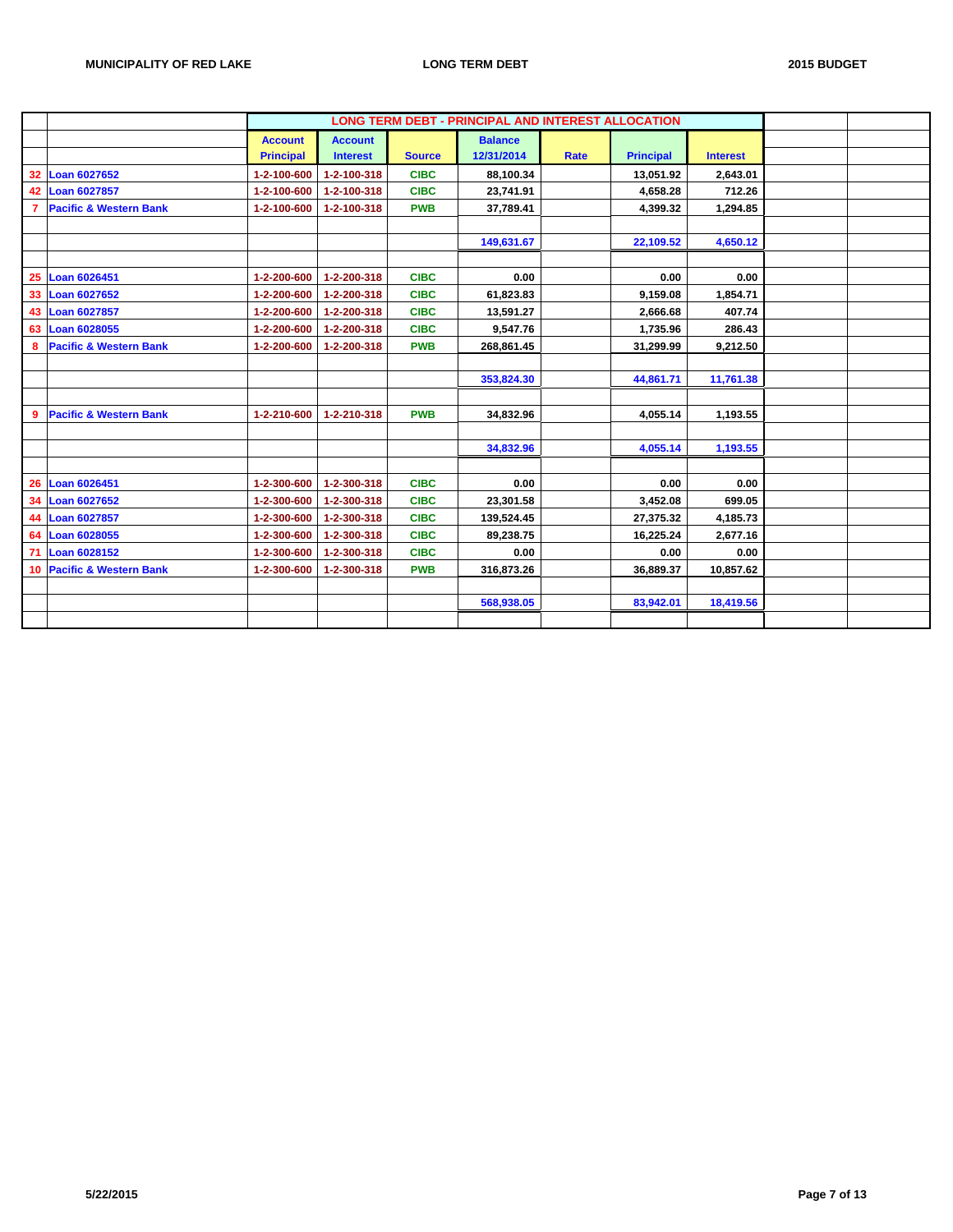|                 |                                   |                  |                 |               | <b>LONG TERM DEBT - PRINCIPAL AND INTEREST ALLOCATION</b> |             |                  |                 |  |
|-----------------|-----------------------------------|------------------|-----------------|---------------|-----------------------------------------------------------|-------------|------------------|-----------------|--|
|                 |                                   | <b>Account</b>   | <b>Account</b>  |               | <b>Balance</b>                                            |             |                  |                 |  |
|                 |                                   | <b>Principal</b> | <b>Interest</b> | <b>Source</b> | 12/31/2014                                                | <b>Rate</b> | <b>Principal</b> | <b>Interest</b> |  |
| 32 <sup>2</sup> | <b>Loan 6027652</b>               | 1-2-100-600      | 1-2-100-318     | <b>CIBC</b>   | 88,100.34                                                 |             | 13,051.92        | 2,643.01        |  |
| 42              | <b>Loan 6027857</b>               | 1-2-100-600      | 1-2-100-318     | <b>CIBC</b>   | 23,741.91                                                 |             | 4,658.28         | 712.26          |  |
| 7               | <b>Pacific &amp; Western Bank</b> | 1-2-100-600      | 1-2-100-318     | <b>PWB</b>    | 37,789.41                                                 |             | 4,399.32         | 1,294.85        |  |
|                 |                                   |                  |                 |               |                                                           |             |                  |                 |  |
|                 |                                   |                  |                 |               | 149,631.67                                                |             | 22,109.52        | 4,650.12        |  |
|                 |                                   |                  |                 |               |                                                           |             |                  |                 |  |
|                 | 25 Loan 6026451                   | 1-2-200-600      | 1-2-200-318     | <b>CIBC</b>   | 0.00                                                      |             | 0.00             | 0.00            |  |
| 33              | Loan 6027652                      | 1-2-200-600      | 1-2-200-318     | <b>CIBC</b>   | 61,823.83                                                 |             | 9,159.08         | 1,854.71        |  |
| 43              | <b>Loan 6027857</b>               | 1-2-200-600      | 1-2-200-318     | <b>CIBC</b>   | 13,591.27                                                 |             | 2,666.68         | 407.74          |  |
| 63              | <b>Loan 6028055</b>               | 1-2-200-600      | 1-2-200-318     | <b>CIBC</b>   | 9,547.76                                                  |             | 1,735.96         | 286.43          |  |
| 8               | <b>Pacific &amp; Western Bank</b> | 1-2-200-600      | 1-2-200-318     | <b>PWB</b>    | 268,861.45                                                |             | 31,299.99        | 9,212.50        |  |
|                 |                                   |                  |                 |               |                                                           |             |                  |                 |  |
|                 |                                   |                  |                 |               | 353,824.30                                                |             | 44,861.71        | 11,761.38       |  |
|                 |                                   |                  |                 |               |                                                           |             |                  |                 |  |
| 9               | <b>Pacific &amp; Western Bank</b> | 1-2-210-600      | 1-2-210-318     | <b>PWB</b>    | 34,832.96                                                 |             | 4,055.14         | 1,193.55        |  |
|                 |                                   |                  |                 |               |                                                           |             |                  |                 |  |
|                 |                                   |                  |                 |               | 34,832.96                                                 |             | 4,055.14         | 1,193.55        |  |
|                 |                                   |                  |                 |               |                                                           |             |                  |                 |  |
| 26              | Loan 6026451                      | 1-2-300-600      | 1-2-300-318     | <b>CIBC</b>   | 0.00                                                      |             | 0.00             | 0.00            |  |
| 34              | <b>Loan 6027652</b>               | 1-2-300-600      | 1-2-300-318     | <b>CIBC</b>   | 23,301.58                                                 |             | 3,452.08         | 699.05          |  |
| 44              | <b>Loan 6027857</b>               | 1-2-300-600      | 1-2-300-318     | <b>CIBC</b>   | 139,524.45                                                |             | 27,375.32        | 4,185.73        |  |
| 64              | <b>Loan 6028055</b>               | 1-2-300-600      | 1-2-300-318     | <b>CIBC</b>   | 89,238.75                                                 |             | 16,225.24        | 2,677.16        |  |
| 71              | <b>Loan 6028152</b>               | 1-2-300-600      | 1-2-300-318     | <b>CIBC</b>   | 0.00                                                      |             | 0.00             | 0.00            |  |
|                 | 10 Pacific & Western Bank         | 1-2-300-600      | 1-2-300-318     | <b>PWB</b>    | 316,873.26                                                |             | 36,889.37        | 10,857.62       |  |
|                 |                                   |                  |                 |               |                                                           |             |                  |                 |  |
|                 |                                   |                  |                 |               | 568,938.05                                                |             | 83,942.01        | 18,419.56       |  |
|                 |                                   |                  |                 |               |                                                           |             |                  |                 |  |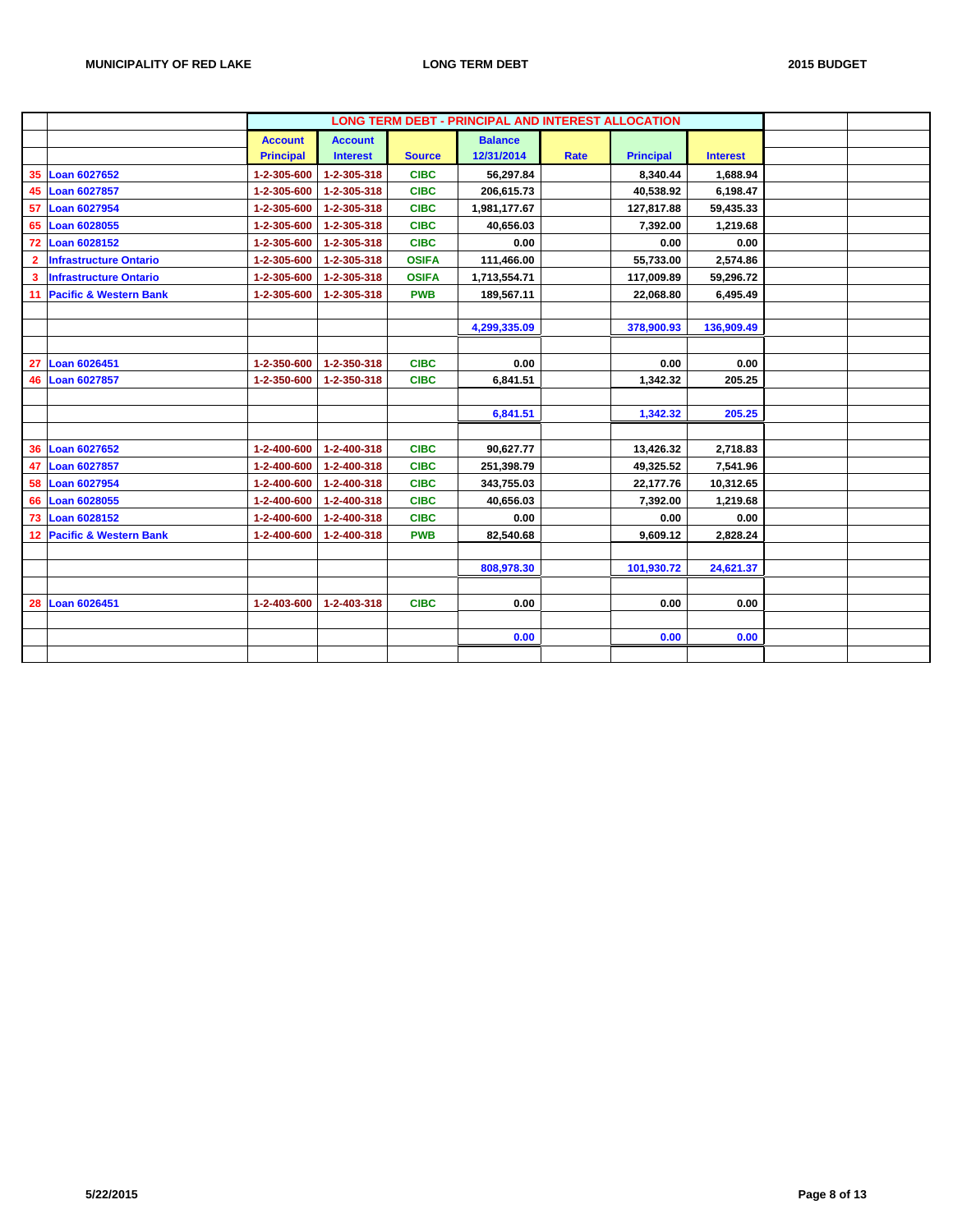|              |                               |                  |                 |               | <b>LONG TERM DEBT - PRINCIPAL AND INTEREST ALLOCATION</b> |      |                  |                 |  |
|--------------|-------------------------------|------------------|-----------------|---------------|-----------------------------------------------------------|------|------------------|-----------------|--|
|              |                               | <b>Account</b>   | <b>Account</b>  |               | <b>Balance</b>                                            |      |                  |                 |  |
|              |                               | <b>Principal</b> | <b>Interest</b> | <b>Source</b> | 12/31/2014                                                | Rate | <b>Principal</b> | <b>Interest</b> |  |
|              | 35 Loan 6027652               | 1-2-305-600      | 1-2-305-318     | <b>CIBC</b>   | 56,297.84                                                 |      | 8,340.44         | 1.688.94        |  |
|              | 45 Loan 6027857               | 1-2-305-600      | 1-2-305-318     | <b>CIBC</b>   | 206,615.73                                                |      | 40,538.92        | 6,198.47        |  |
| 57           | Loan 6027954                  | 1-2-305-600      | 1-2-305-318     | <b>CIBC</b>   | 1,981,177.67                                              |      | 127,817.88       | 59,435.33       |  |
| 65           | Loan 6028055                  | 1-2-305-600      | 1-2-305-318     | <b>CIBC</b>   | 40,656.03                                                 |      | 7,392.00         | 1,219.68        |  |
|              | 72 Loan 6028152               | 1-2-305-600      | 1-2-305-318     | <b>CIBC</b>   | 0.00                                                      |      | 0.00             | 0.00            |  |
| $\mathbf{2}$ | <b>Infrastructure Ontario</b> | 1-2-305-600      | 1-2-305-318     | <b>OSIFA</b>  | 111,466.00                                                |      | 55,733.00        | 2,574.86        |  |
| 3            | <b>Infrastructure Ontario</b> | 1-2-305-600      | 1-2-305-318     | <b>OSIFA</b>  | 1,713,554.71                                              |      | 117,009.89       | 59,296.72       |  |
|              | 11 Pacific & Western Bank     | 1-2-305-600      | 1-2-305-318     | <b>PWB</b>    | 189,567.11                                                |      | 22,068.80        | 6,495.49        |  |
|              |                               |                  |                 |               |                                                           |      |                  |                 |  |
|              |                               |                  |                 |               | 4,299,335.09                                              |      | 378,900.93       | 136,909.49      |  |
|              |                               |                  |                 |               |                                                           |      |                  |                 |  |
| 27           | <b>Loan 6026451</b>           | 1-2-350-600      | 1-2-350-318     | <b>CIBC</b>   | 0.00                                                      |      | 0.00             | 0.00            |  |
| 46           | Loan 6027857                  | 1-2-350-600      | 1-2-350-318     | <b>CIBC</b>   | 6,841.51                                                  |      | 1,342.32         | 205.25          |  |
|              |                               |                  |                 |               |                                                           |      |                  |                 |  |
|              |                               |                  |                 |               | 6,841.51                                                  |      | 1,342.32         | 205.25          |  |
|              |                               |                  |                 |               |                                                           |      |                  |                 |  |
|              | 36 Loan 6027652               | 1-2-400-600      | 1-2-400-318     | <b>CIBC</b>   | 90,627.77                                                 |      | 13,426.32        | 2,718.83        |  |
| 47           | <b>Loan 6027857</b>           | 1-2-400-600      | 1-2-400-318     | <b>CIBC</b>   | 251,398.79                                                |      | 49,325.52        | 7,541.96        |  |
| 58           | <b>Loan 6027954</b>           | 1-2-400-600      | 1-2-400-318     | <b>CIBC</b>   | 343,755.03                                                |      | 22,177.76        | 10,312.65       |  |
|              | 66 Loan 6028055               | 1-2-400-600      | 1-2-400-318     | <b>CIBC</b>   | 40,656.03                                                 |      | 7,392.00         | 1,219.68        |  |
| 73           | <b>Loan 6028152</b>           | 1-2-400-600      | 1-2-400-318     | <b>CIBC</b>   | 0.00                                                      |      | 0.00             | 0.00            |  |
|              | 12 Pacific & Western Bank     | 1-2-400-600      | 1-2-400-318     | <b>PWB</b>    | 82,540.68                                                 |      | 9,609.12         | 2,828.24        |  |
|              |                               |                  |                 |               |                                                           |      |                  |                 |  |
|              |                               |                  |                 |               | 808,978.30                                                |      | 101,930.72       | 24,621.37       |  |
|              |                               |                  |                 |               |                                                           |      |                  |                 |  |
|              | 28 Loan 6026451               | 1-2-403-600      | 1-2-403-318     | <b>CIBC</b>   | 0.00                                                      |      | 0.00             | 0.00            |  |
|              |                               |                  |                 |               |                                                           |      |                  |                 |  |
|              |                               |                  |                 |               | 0.00                                                      |      | 0.00             | 0.00            |  |
|              |                               |                  |                 |               |                                                           |      |                  |                 |  |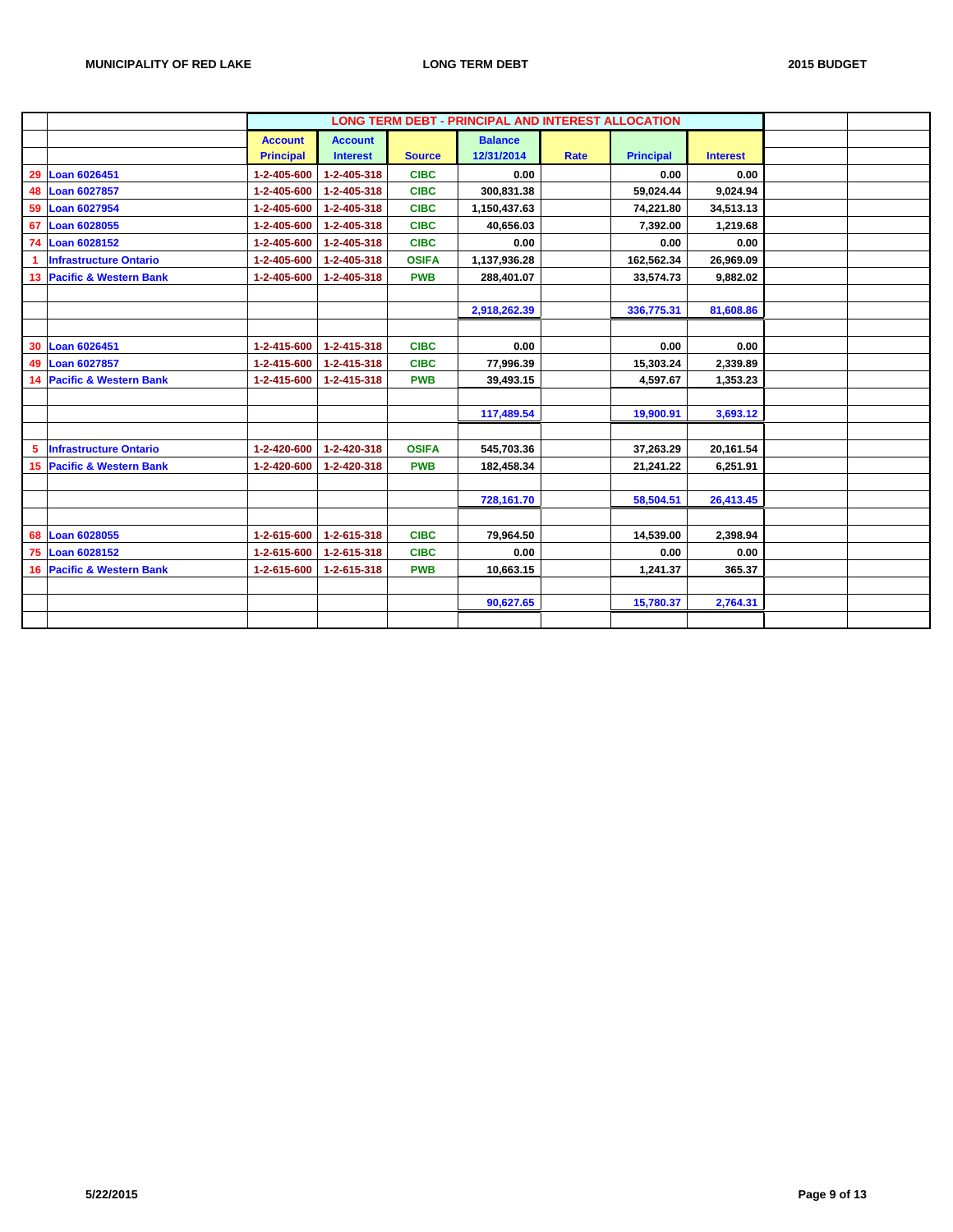|    |                               |                  |                 |               | <b>LONG TERM DEBT - PRINCIPAL AND INTEREST ALLOCATION</b> |             |                  |                 |  |
|----|-------------------------------|------------------|-----------------|---------------|-----------------------------------------------------------|-------------|------------------|-----------------|--|
|    |                               | <b>Account</b>   | <b>Account</b>  |               | <b>Balance</b>                                            |             |                  |                 |  |
|    |                               | <b>Principal</b> | <b>Interest</b> | <b>Source</b> | 12/31/2014                                                | <b>Rate</b> | <b>Principal</b> | <b>Interest</b> |  |
| 29 | Loan 6026451                  | 1-2-405-600      | 1-2-405-318     | <b>CIBC</b>   | 0.00                                                      |             | 0.00             | 0.00            |  |
|    | 48 Loan 6027857               | 1-2-405-600      | 1-2-405-318     | <b>CIBC</b>   | 300,831.38                                                |             | 59,024.44        | 9,024.94        |  |
| 59 | <b>Loan 6027954</b>           | 1-2-405-600      | 1-2-405-318     | <b>CIBC</b>   | 1,150,437.63                                              |             | 74,221.80        | 34,513.13       |  |
| 67 | Loan 6028055                  | 1-2-405-600      | 1-2-405-318     | <b>CIBC</b>   | 40.656.03                                                 |             | 7,392.00         | 1,219.68        |  |
| 74 | Loan 6028152                  | 1-2-405-600      | 1-2-405-318     | <b>CIBC</b>   | 0.00                                                      |             | 0.00             | 0.00            |  |
| -1 | <b>Infrastructure Ontario</b> | 1-2-405-600      | 1-2-405-318     | <b>OSIFA</b>  | 1,137,936.28                                              |             | 162,562.34       | 26,969.09       |  |
|    | 13 Pacific & Western Bank     | 1-2-405-600      | 1-2-405-318     | <b>PWB</b>    | 288,401.07                                                |             | 33,574.73        | 9,882.02        |  |
|    |                               |                  |                 |               |                                                           |             |                  |                 |  |
|    |                               |                  |                 |               | 2,918,262.39                                              |             | 336,775.31       | 81,608.86       |  |
|    |                               |                  |                 |               |                                                           |             |                  |                 |  |
| 30 | <b>Loan 6026451</b>           | 1-2-415-600      | 1-2-415-318     | <b>CIBC</b>   | 0.00                                                      |             | 0.00             | 0.00            |  |
| 49 | Loan 6027857                  | 1-2-415-600      | 1-2-415-318     | <b>CIBC</b>   | 77,996.39                                                 |             | 15,303.24        | 2,339.89        |  |
|    | 14 Pacific & Western Bank     | 1-2-415-600      | 1-2-415-318     | <b>PWB</b>    | 39,493.15                                                 |             | 4,597.67         | 1,353.23        |  |
|    |                               |                  |                 |               |                                                           |             |                  |                 |  |
|    |                               |                  |                 |               | 117,489.54                                                |             | 19,900.91        | 3,693.12        |  |
|    |                               |                  |                 |               |                                                           |             |                  |                 |  |
| 5  | <b>Infrastructure Ontario</b> | 1-2-420-600      | 1-2-420-318     | <b>OSIFA</b>  | 545,703.36                                                |             | 37,263.29        | 20,161.54       |  |
|    | 15 Pacific & Western Bank     | 1-2-420-600      | 1-2-420-318     | <b>PWB</b>    | 182,458.34                                                |             | 21,241.22        | 6,251.91        |  |
|    |                               |                  |                 |               |                                                           |             |                  |                 |  |
|    |                               |                  |                 |               | 728,161.70                                                |             | 58,504.51        | 26,413.45       |  |
|    |                               |                  |                 |               |                                                           |             |                  |                 |  |
| 68 | Loan 6028055                  | 1-2-615-600      | 1-2-615-318     | <b>CIBC</b>   | 79,964.50                                                 |             | 14,539.00        | 2,398.94        |  |
| 75 | Loan 6028152                  | 1-2-615-600      | 1-2-615-318     | <b>CIBC</b>   | 0.00                                                      |             | 0.00             | 0.00            |  |
|    | 16 Pacific & Western Bank     | 1-2-615-600      | 1-2-615-318     | <b>PWB</b>    | 10,663.15                                                 |             | 1,241.37         | 365.37          |  |
|    |                               |                  |                 |               |                                                           |             |                  |                 |  |
|    |                               |                  |                 |               | 90,627.65                                                 |             | 15,780.37        | 2,764.31        |  |
|    |                               |                  |                 |               |                                                           |             |                  |                 |  |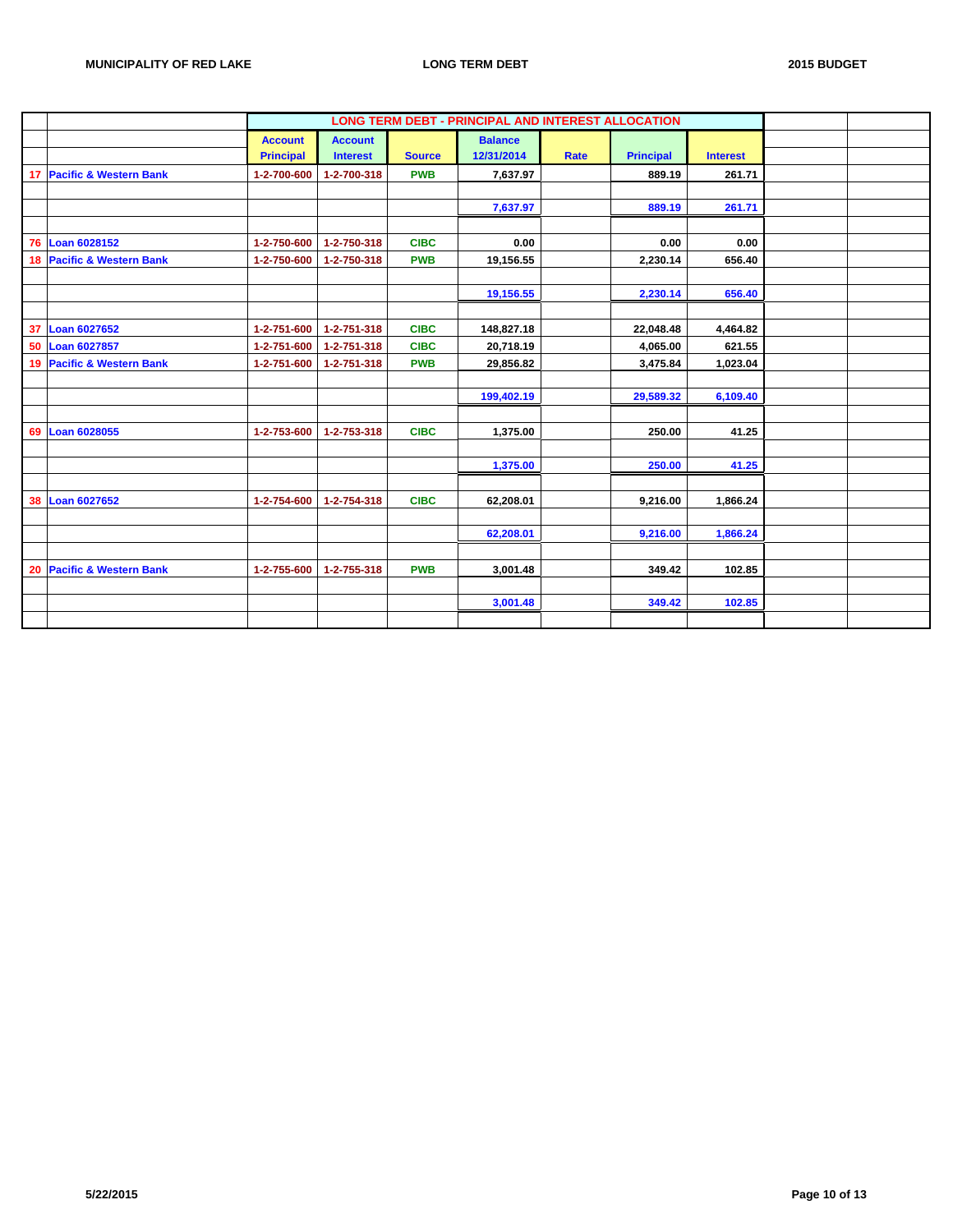|    |                           |                  |                 |               | <b>LONG TERM DEBT - PRINCIPAL AND INTEREST ALLOCATION</b> |      |                  |                 |  |
|----|---------------------------|------------------|-----------------|---------------|-----------------------------------------------------------|------|------------------|-----------------|--|
|    |                           | <b>Account</b>   | <b>Account</b>  |               | <b>Balance</b>                                            |      |                  |                 |  |
|    |                           | <b>Principal</b> | <b>Interest</b> | <b>Source</b> | 12/31/2014                                                | Rate | <b>Principal</b> | <b>Interest</b> |  |
|    | 17 Pacific & Western Bank | 1-2-700-600      | 1-2-700-318     | <b>PWB</b>    | 7,637.97                                                  |      | 889.19           | 261.71          |  |
|    |                           |                  |                 |               |                                                           |      |                  |                 |  |
|    |                           |                  |                 |               | 7,637.97                                                  |      | 889.19           | 261.71          |  |
|    |                           |                  |                 |               |                                                           |      |                  |                 |  |
| 76 | Loan 6028152              | 1-2-750-600      | 1-2-750-318     | <b>CIBC</b>   | 0.00                                                      |      | 0.00             | 0.00            |  |
|    | 18 Pacific & Western Bank | 1-2-750-600      | 1-2-750-318     | <b>PWB</b>    | 19,156.55                                                 |      | 2,230.14         | 656.40          |  |
|    |                           |                  |                 |               |                                                           |      |                  |                 |  |
|    |                           |                  |                 |               | 19,156.55                                                 |      | 2,230.14         | 656.40          |  |
|    |                           |                  |                 |               |                                                           |      |                  |                 |  |
|    | 37 Loan 6027652           | 1-2-751-600      | 1-2-751-318     | <b>CIBC</b>   | 148,827.18                                                |      | 22,048.48        | 4,464.82        |  |
| 50 | <b>Loan 6027857</b>       | 1-2-751-600      | 1-2-751-318     | <b>CIBC</b>   | 20,718.19                                                 |      | 4,065.00         | 621.55          |  |
|    | 19 Pacific & Western Bank | 1-2-751-600      | 1-2-751-318     | <b>PWB</b>    | 29,856.82                                                 |      | 3,475.84         | 1,023.04        |  |
|    |                           |                  |                 |               |                                                           |      |                  |                 |  |
|    |                           |                  |                 |               | 199,402.19                                                |      | 29,589.32        | 6,109.40        |  |
|    |                           |                  |                 |               |                                                           |      |                  |                 |  |
|    | 69 Loan 6028055           | 1-2-753-600      | 1-2-753-318     | <b>CIBC</b>   | 1,375.00                                                  |      | 250.00           | 41.25           |  |
|    |                           |                  |                 |               |                                                           |      |                  |                 |  |
|    |                           |                  |                 |               | 1,375.00                                                  |      | 250.00           | 41.25           |  |
|    |                           |                  |                 |               |                                                           |      |                  |                 |  |
|    | 38 Loan 6027652           | 1-2-754-600      | 1-2-754-318     | <b>CIBC</b>   | 62,208.01                                                 |      | 9,216.00         | 1,866.24        |  |
|    |                           |                  |                 |               |                                                           |      |                  |                 |  |
|    |                           |                  |                 |               | 62,208.01                                                 |      | 9,216.00         | 1,866.24        |  |
|    |                           |                  |                 |               |                                                           |      |                  |                 |  |
|    | 20 Pacific & Western Bank | 1-2-755-600      | 1-2-755-318     | <b>PWB</b>    | 3,001.48                                                  |      | 349.42           | 102.85          |  |
|    |                           |                  |                 |               |                                                           |      |                  |                 |  |
|    |                           |                  |                 |               | 3,001.48                                                  |      | 349.42           | 102.85          |  |
|    |                           |                  |                 |               |                                                           |      |                  |                 |  |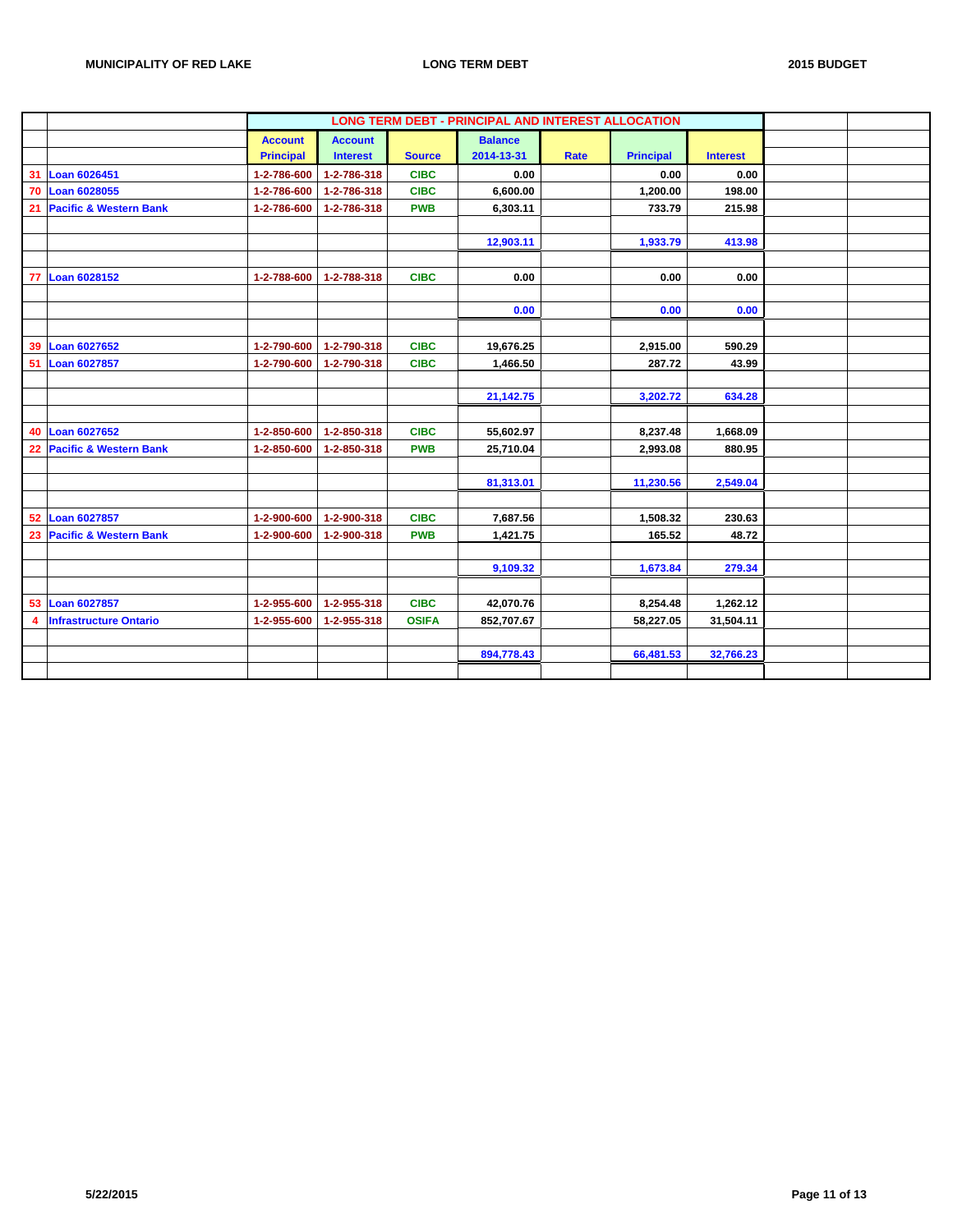|    |                                   |                  |                 |               | LONG TERM DEBT - PRINCIPAL AND INTEREST ALLOCATION |      |                  |                 |  |
|----|-----------------------------------|------------------|-----------------|---------------|----------------------------------------------------|------|------------------|-----------------|--|
|    |                                   | <b>Account</b>   | <b>Account</b>  |               | <b>Balance</b>                                     |      |                  |                 |  |
|    |                                   | <b>Principal</b> | <b>Interest</b> | <b>Source</b> | 2014-13-31                                         | Rate | <b>Principal</b> | <b>Interest</b> |  |
| 31 | Loan 6026451                      | 1-2-786-600      | 1-2-786-318     | <b>CIBC</b>   | 0.00                                               |      | 0.00             | 0.00            |  |
|    | 70 Loan 6028055                   | 1-2-786-600      | 1-2-786-318     | <b>CIBC</b>   | 6,600.00                                           |      | 1,200.00         | 198.00          |  |
| 21 | <b>Pacific &amp; Western Bank</b> | 1-2-786-600      | 1-2-786-318     | <b>PWB</b>    | 6,303.11                                           |      | 733.79           | 215.98          |  |
|    |                                   |                  |                 |               |                                                    |      |                  |                 |  |
|    |                                   |                  |                 |               | 12,903.11                                          |      | 1,933.79         | 413.98          |  |
|    |                                   |                  |                 |               |                                                    |      |                  |                 |  |
|    | 77 Loan 6028152                   | 1-2-788-600      | 1-2-788-318     | <b>CIBC</b>   | 0.00                                               |      | 0.00             | 0.00            |  |
|    |                                   |                  |                 |               |                                                    |      |                  |                 |  |
|    |                                   |                  |                 |               | 0.00                                               |      | 0.00             | 0.00            |  |
|    |                                   |                  |                 |               |                                                    |      |                  |                 |  |
| 39 | Loan 6027652                      | 1-2-790-600      | 1-2-790-318     | <b>CIBC</b>   | 19,676.25                                          |      | 2,915.00         | 590.29          |  |
| 51 | Loan 6027857                      | 1-2-790-600      | 1-2-790-318     | <b>CIBC</b>   | 1,466.50                                           |      | 287.72           | 43.99           |  |
|    |                                   |                  |                 |               |                                                    |      |                  |                 |  |
|    |                                   |                  |                 |               | 21,142.75                                          |      | 3,202.72         | 634.28          |  |
|    |                                   |                  |                 |               |                                                    |      |                  |                 |  |
|    | 40 Loan 6027652                   | 1-2-850-600      | 1-2-850-318     | <b>CIBC</b>   | 55,602.97                                          |      | 8,237.48         | 1,668.09        |  |
|    | 22 Pacific & Western Bank         | 1-2-850-600      | 1-2-850-318     | <b>PWB</b>    | 25,710.04                                          |      | 2,993.08         | 880.95          |  |
|    |                                   |                  |                 |               |                                                    |      |                  |                 |  |
|    |                                   |                  |                 |               | 81,313.01                                          |      | 11,230.56        | 2,549.04        |  |
|    |                                   |                  |                 |               |                                                    |      |                  |                 |  |
|    | 52 Loan 6027857                   | 1-2-900-600      | 1-2-900-318     | <b>CIBC</b>   | 7,687.56                                           |      | 1,508.32         | 230.63          |  |
|    | 23 Pacific & Western Bank         | 1-2-900-600      | 1-2-900-318     | <b>PWB</b>    | 1,421.75                                           |      | 165.52           | 48.72           |  |
|    |                                   |                  |                 |               |                                                    |      |                  |                 |  |
|    |                                   |                  |                 |               | 9,109.32                                           |      | 1,673.84         | 279.34          |  |
|    |                                   |                  |                 |               |                                                    |      |                  |                 |  |
|    | 53 Loan 6027857                   | 1-2-955-600      | 1-2-955-318     | <b>CIBC</b>   | 42,070.76                                          |      | 8,254.48         | 1,262.12        |  |
| 4  | <b>Infrastructure Ontario</b>     | 1-2-955-600      | 1-2-955-318     | <b>OSIFA</b>  | 852,707.67                                         |      | 58,227.05        | 31,504.11       |  |
|    |                                   |                  |                 |               |                                                    |      |                  |                 |  |
|    |                                   |                  |                 |               | 894,778.43                                         |      | 66,481.53        | 32,766.23       |  |
|    |                                   |                  |                 |               |                                                    |      |                  |                 |  |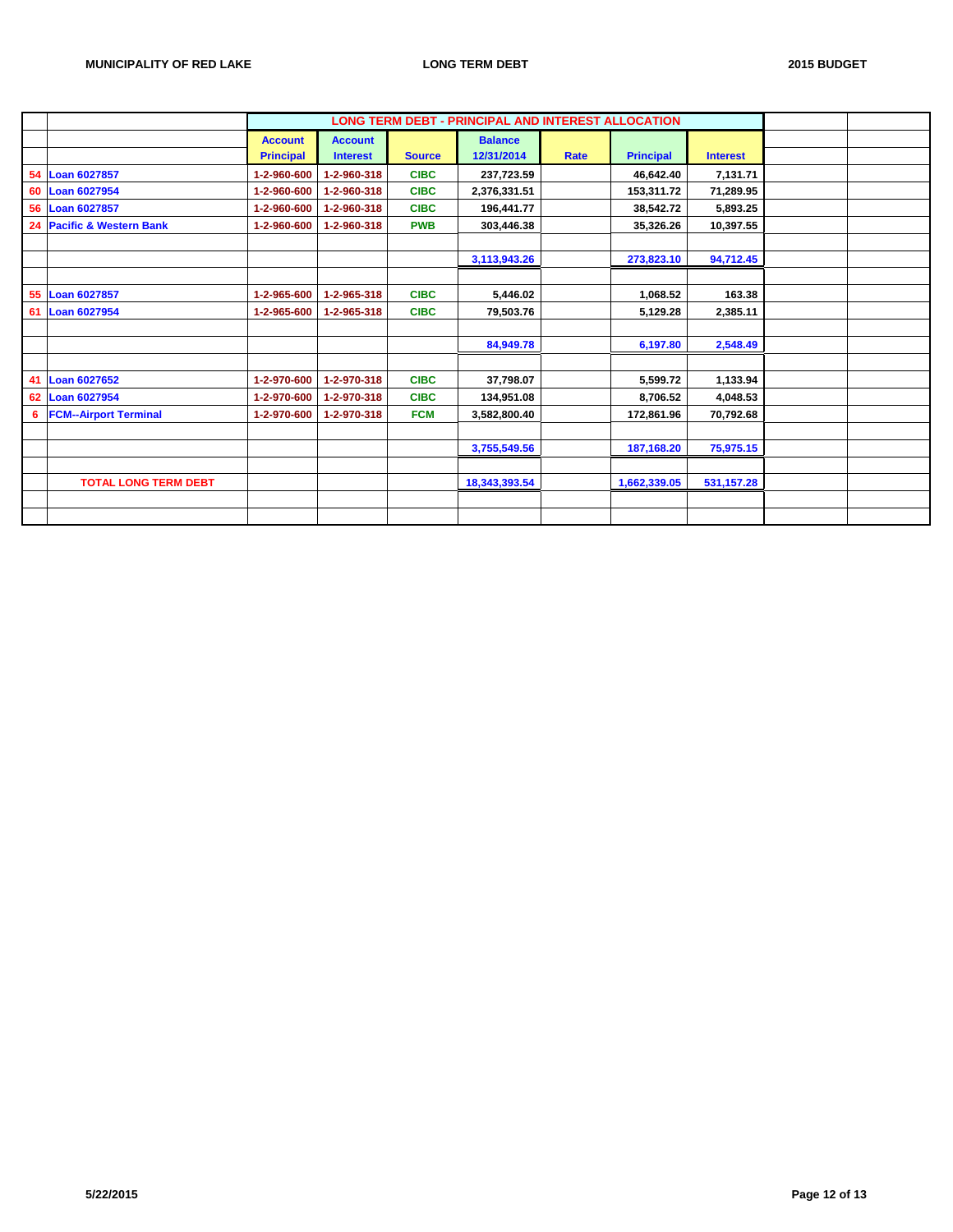|    |                                   |                  |                 |               | LONG TERM DEBT - PRINCIPAL AND INTEREST ALLOCATION |      |                  |                 |  |
|----|-----------------------------------|------------------|-----------------|---------------|----------------------------------------------------|------|------------------|-----------------|--|
|    |                                   | <b>Account</b>   | <b>Account</b>  |               | <b>Balance</b>                                     |      |                  |                 |  |
|    |                                   | <b>Principal</b> | <b>Interest</b> | <b>Source</b> | 12/31/2014                                         | Rate | <b>Principal</b> | <b>Interest</b> |  |
|    | 54 Loan 6027857                   | 1-2-960-600      | 1-2-960-318     | <b>CIBC</b>   | 237,723.59                                         |      | 46,642.40        | 7,131.71        |  |
| 60 | <b>Loan 6027954</b>               | 1-2-960-600      | 1-2-960-318     | <b>CIBC</b>   | 2,376,331.51                                       |      | 153,311.72       | 71,289.95       |  |
|    | 56 Loan 6027857                   | 1-2-960-600      | 1-2-960-318     | <b>CIBC</b>   | 196,441.77                                         |      | 38,542.72        | 5,893.25        |  |
| 24 | <b>Pacific &amp; Western Bank</b> | 1-2-960-600      | 1-2-960-318     | <b>PWB</b>    | 303,446.38                                         |      | 35,326.26        | 10,397.55       |  |
|    |                                   |                  |                 |               |                                                    |      |                  |                 |  |
|    |                                   |                  |                 |               | 3,113,943.26                                       |      | 273,823.10       | 94,712.45       |  |
|    |                                   |                  |                 |               |                                                    |      |                  |                 |  |
| 55 | <b>Loan 6027857</b>               | 1-2-965-600      | 1-2-965-318     | <b>CIBC</b>   | 5,446.02                                           |      | 1,068.52         | 163.38          |  |
| 61 | <b>Loan 6027954</b>               | 1-2-965-600      | 1-2-965-318     | <b>CIBC</b>   | 79,503.76                                          |      | 5,129.28         | 2,385.11        |  |
|    |                                   |                  |                 |               |                                                    |      |                  |                 |  |
|    |                                   |                  |                 |               | 84,949.78                                          |      | 6,197.80         | 2,548.49        |  |
|    |                                   |                  |                 |               |                                                    |      |                  |                 |  |
| 41 | <b>Loan 6027652</b>               | 1-2-970-600      | 1-2-970-318     | <b>CIBC</b>   | 37,798.07                                          |      | 5,599.72         | 1,133.94        |  |
|    | 62 Loan 6027954                   | 1-2-970-600      | 1-2-970-318     | <b>CIBC</b>   | 134,951.08                                         |      | 8,706.52         | 4,048.53        |  |
| 6  | <b>FCM--Airport Terminal</b>      | 1-2-970-600      | 1-2-970-318     | <b>FCM</b>    | 3,582,800.40                                       |      | 172,861.96       | 70,792.68       |  |
|    |                                   |                  |                 |               |                                                    |      |                  |                 |  |
|    |                                   |                  |                 |               | 3,755,549.56                                       |      | 187,168.20       | 75,975.15       |  |
|    |                                   |                  |                 |               |                                                    |      |                  |                 |  |
|    | <b>TOTAL LONG TERM DEBT</b>       |                  |                 |               | 18,343,393.54                                      |      | 1,662,339.05     | 531, 157.28     |  |
|    |                                   |                  |                 |               |                                                    |      |                  |                 |  |
|    |                                   |                  |                 |               |                                                    |      |                  |                 |  |